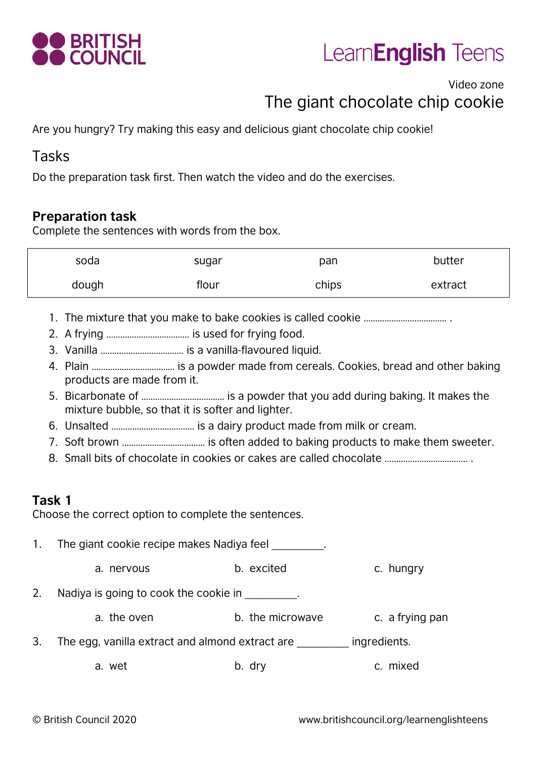



## Video zone The giant chocolate chip cookie

Are you hungry? Try making this easy and delicious giant chocolate chip cookie!

#### Tasks

Do the preparation task first. Then watch the video and do the exercises.

#### **Preparation task**

Complete the sentences with words from the box.

| soda  | sugar | pan   | butter  |
|-------|-------|-------|---------|
| dough | flour | chips | extract |

- 1. The mixture that you make to bake cookies is called cookie ……………………………… .
- 2. A frying ……………………………… is used for frying food.
- 3. Vanilla ……………………………… is a vanilla-flavoured liquid.
- 4. Plain ……………………………… is a powder made from cereals. Cookies, bread and other baking products are made from it.
- 5. Bicarbonate of ……………………………… is a powder that you add during baking. It makes the mixture bubble, so that it is softer and lighter.
- 6. Unsalted ……………………………… is a dairy product made from milk or cream.
- 7. Soft brown ……………………………… is often added to baking products to make them sweeter.
- 8. Small bits of chocolate in cookies or cakes are called chocolate ……………………………… .

#### **Task 1**

Choose the correct option to complete the sentences.

1. The giant cookie recipe makes Nadiya feel

a. nervous b. excited c. hungry

2. Nadiya is going to cook the cookie in the same of the same of the cookie in the same of the same of the same of the same of the same of the same of the same of the same of the same of the same of the same of the same of

- a. the oven b. the microwave c. a frying pan
- 3. The egg, vanilla extract and almond extract are \_\_\_\_\_\_\_\_\_ ingredients.
	- a. wet b. dry b. dry c. mixed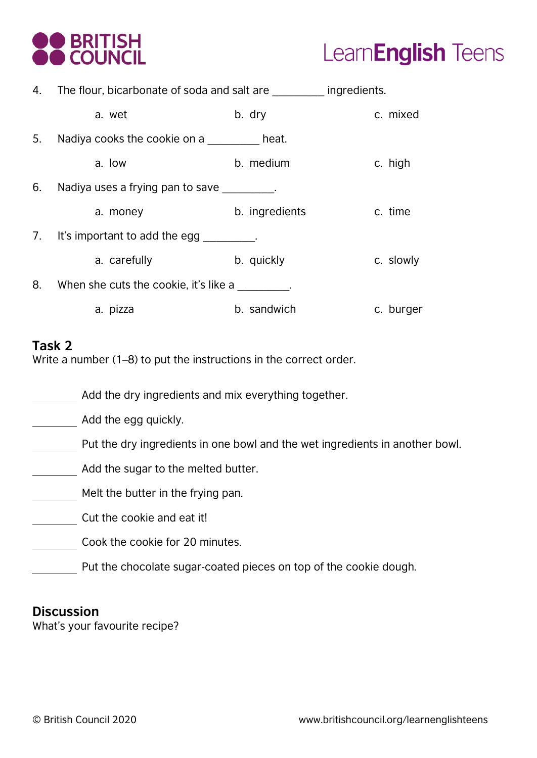



|    | 4. The flour, bicarbonate of soda and salt are ingredients. |                |           |
|----|-------------------------------------------------------------|----------------|-----------|
|    | a. wet                                                      | b. dry         | c. mixed  |
| 5. | Nadiya cooks the cookie on a beat.                          |                |           |
|    | a. low                                                      | b. medium      | c. high   |
| 6. | Nadiya uses a frying pan to save _________.                 |                |           |
|    | a. money                                                    | b. ingredients | c. time   |
|    | 7. It's important to add the egg ________.                  |                |           |
|    | a. carefully                                                | b. quickly     | c. slowly |
| 8. | When she cuts the cookie, it's like a                       |                |           |
|    | a. pizza                                                    | b. sandwich    | c. burger |

#### **Task 2**

Write a number (1–8) to put the instructions in the correct order.

Add the dry ingredients and mix everything together.

Add the egg quickly.

- Put the dry ingredients in one bowl and the wet ingredients in another bowl.
- Add the sugar to the melted butter.
- Melt the butter in the frying pan.
- Cut the cookie and eat it!

Cook the cookie for 20 minutes.

Put the chocolate sugar-coated pieces on top of the cookie dough.

#### **Discussion**

What's your favourite recipe?